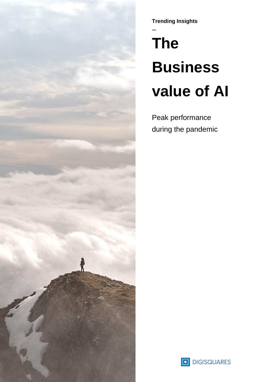

**Trending Insights**

# **The Business value of AI**

Peak performance during the pandemic

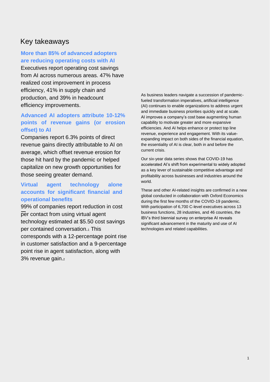### Key takeaways

#### **More than 85% of advanced adopters are reducing operating costs with AI**

Executives report operating cost savings from AI across numerous areas. 47% have realized cost improvement in process efficiency, 41% in supply chain and production, and 39% in headcount efficiency improvements.

#### **Advanced AI adopters attribute 10-12% points of revenue gains (or erosion offset) to AI**

Companies report 6.3% points of direct revenue gains directly attributable to AI on average, which offset revenue erosion for those hit hard by the pandemic or helped capitalize on new growth opportunities for those seeing greater demand.

#### **Virtual agent technology alone accounts for significant financial and operational benefits**

99% of companies report reduction in cost per contact from using virtual agent technology estimated at \$5.50 cost savings per contained conversation.<sup>1</sup> This corresponds with a 12-percentage point rise in customer satisfaction and a 9-percentage point rise in agent satisfaction, along with 3% revenue gain.<sup>2</sup>

As business leaders navigate a succession of pandemicfueled transformation imperatives, artificial intelligence (AI) continues to enable organizations to address urgent and immediate business priorities quickly and at scale. AI improves a company's cost base augmenting human capability to motivate greater and more expansive efficiencies. And AI helps enhance or protect top line revenue, experience and engagement. With its valueexpanding impact on both sides of the financial equation, the essentiality of AI is clear, both in and before the current crisis.

Our six-year data series shows that COVID-19 has accelerated AI's shift from experimental to widely adopted as a key lever of sustainable competitive advantage and profitability across businesses and industries around the world.

These and other AI-related insights are confirmed in a new global conducted in collaboration with Oxford Economics during the first few months of the COVID-19 pandemic. With participation of 6,700 C-level executives across 13 business functions, 28 industries, and 46 countries, the IBV's third biennial survey on enterprise AI reveals significant advancement in the maturity and use of AI technologies and related capabilities.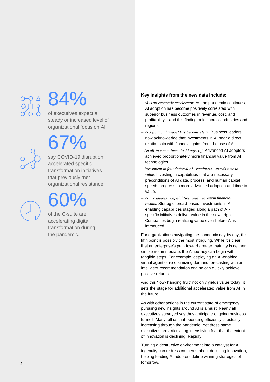## 34%

of executives expect a steady or increased level of organizational focus on AI.

## 67%

say COVID -19 disruption accelerated specific transformation initiatives that previously met organizational resistance.

## 60%

of the C -suite are accelerating digital transformation during the pandemic.

#### **Key insights from the new data include:**

- *AI is an economic accelerator.* As the pandemic continues, AI adoption has become positively correlated with superior business outcomes in revenue, cost, and profitability – and this finding holds across industries and regions.
- *AI's financial impact has become clear*. Business leaders now acknowledge that investments in AI bear a direct relationship with financial gains from the use of AI.
- *An all -in commitment to AI pays off.* Advanced AI adopters achieved proportionately more financial value from AI technologies.
- *Investment in foundational AI "readiness" speeds time to value.* Investing in capabilities that are necessary preconditions of AI data, process, and human capital speeds progress to more advanced adoption and time to value.
- *AI "readiness" capabilities yield near -term financial results.* Strategic, broad -based investments in AI enabling capabilities staged along a path of AI specific initiatives deliver value in their own right. Companies begin realizing value even before AI is introduced.

For organizations navigating the pandemic day by day, this fifth point is possibly the most intriguing. While it's clear that an enterprise's path toward greater maturity is neither simple nor immediate, the AI journey can begin with tangible steps. For example, deploying an AI -enabled virtual agent or re -optimizing demand forecasting with an intelligent recommendation engine can quickly achieve positive returns.

And this "low - hanging fruit" not only yields value today, it sets the stage for additional accelerated value from AI in the future.

As with other actions in the current state of emergency, pursuing new insights around AI is a must. Nearly all executives surveyed say they anticipate ongoing business turmoil. Many tell us that operating efficiency is actually increasing through the pandemic. Yet those same executives are articulating intensifying fear that the extent of innovation is declining. Rapidly.

Turning a destructive environment into a catalyst for AI ingenuity can redress concerns about declining innovation, helping leading AI adopters define winning strategies of tomorrow.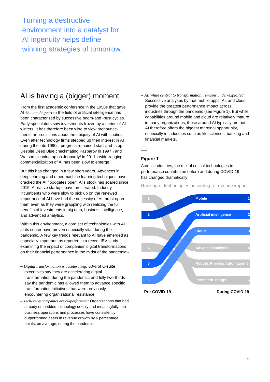Turning a destructive environment into a catalyst for AI ingenuity helps define winning strategies of tomorrow.

## AI is having a (bigger) moment

From the first academic conference in the 1950s that gave AI its *nom du guerre*,<sup>3</sup> the field of artificial intelligence has been characterized by successive boom-and -bust cycles. Early speculators saw investments frozen by a series of AI winters. It has therefore been wise to view pronouncements or predictions about the ubiquity of AI with caution. Even after technology firms stepped up their interest in AI during the late 1990s, progress remained start-and -stop. Despite Deep Blue checkmating Kasparov in 1997,4 and Watson cleaning up on Jeopardy! in 2011,<sup>5</sup> wide-ranging commercialization of AI has been slow to emerge.

But this has changed in a few short years. Advances in deep learning and other machine learning techniques have cracked the AI floodgates open. AI's stock has soared since 2015. AI-native startups have proliferated. Industry incumbents who were slow to pick up on the renewed importance of AI have had the necessity of AI thrust upon them even as they were grappling with realizing the full benefits of investments in big data, business intelligence, and advanced analytics.

Within this environment, a core set of technologies with AI at its center have proven especially vital during the pandemic. A few key trends relevant to AI have emerged as especially important, as reported in a recent IBV study examining the impact of companies' digital transformations on their financial performance in the midst of the pandemic:<sup>6</sup>

- *Digital transformation is accelerating:* 60% of C-suite executives say they are accelerating digital transformation during the pandemic, and fully two-thirds say the pandemic has allowed them to advance specific transformation initiatives that were previously encountering organizational resistance.
- *Tech-savvy companies are outperforming:* Organizations that had already embedded technology deeply and meaningfully into business operations and processes have consistently outperformed peers in revenue growth by 6 percentage points, on average, during the pandemic.

– *AI, while central to transformation, remains under-exploited:* Successive analyses by that mobile apps, AI, and cloud provide the greatest performance impact across industries through the pandemic (see Figure 1). But while capabilities around mobile and cloud are relatively mature in many organizations, those around AI typically are not. AI therefore offers the biggest marginal opportunity, especially in industries such as life sciences, banking and financial markets.

#### **Figure 1**

Across industries, the mix of critical technologies to performance contribution before and during COVID-19 has changed dramatically

Ranking of technologies according to revenue impact

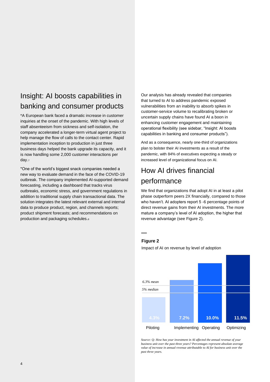## Insight: AI boosts capabilities in banking and consumer products

\*A European bank faced a dramatic increase in customer inquiries at the onset of the pandemic. With high levels of staff absenteeism from sickness and self-isolation, the company accelerated a longer-term virtual agent project to help manage the flow of calls to the contact center. Rapid implementation inception to production in just three business days helped the bank upgrade its capacity, and it is now handling some 2,000 customer interactions per day.<sup>7</sup>

\*One of the world's biggest snack companies needed a new way to evaluate demand in the face of the COVID-19 outbreak. The company implemented AI-supported demand forecasting, including a dashboard that tracks virus outbreaks, economic stress, and government regulations in addition to traditional supply chain transactional data. The solution integrates the latest relevant external and internal data to produce product, region, and channels reports; product shipment forecasts; and recommendations on production and packaging schedules.<sup>8</sup>

Our analysis has already revealed that companies that turned to AI to address pandemic exposed vulnerabilities from an inability to absorb spikes in customer-service volume to recalibrating broken or uncertain supply chains have found AI a boon in enhancing customer engagement and maintaining operational flexibility (see sidebar, "Insight: AI boosts capabilities in banking and consumer products").

And as a consequence, nearly one-third of organizations plan to bolster their AI investments as a result of the pandemic, with 84% of executives expecting a steady or increased level of organizational focus on AI.

## How AI drives financial performance

We find that organizations that adopt AI in at least a pilot phase outperform peers 2X financially, compared to those who haven't. AI adopters report 5 -6 percentage points of direct revenue gains from their AI investments. The more mature a company's level of AI adoption, the higher that revenue advantage (see Figure 2).



#### **Figure 2**

Impact of AI on revenue by level of adoption



*Source: Q: How has your investment in AI affected the annual revenue of your business unit over the past three years? Percentages represent absolute average value of increase in annual revenue attributable to AI for business unit over the past three years.*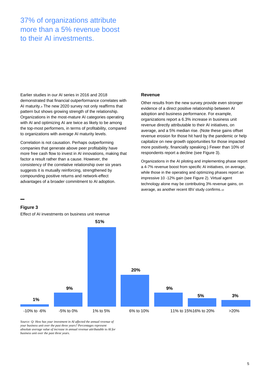37% of organizations attribute more than a 5% revenue boost to their AI investments.

Earlier studies in our AI series in 2016 and 2018 demonstrated that financial outperformance correlates with AI maturity.<sup>9</sup> The new 2020 survey not only reaffirms that pattern but shows growing strength of the relationship. Organizations in the most-mature AI categories operating with AI and optimizing AI are twice as likely to be among the top-most performers, in terms of profitability, compared to organizations with average AI maturity levels.

Correlation is not causation. Perhaps outperforming companies that generate above peer profitability have more free cash flow to invest in AI innovations, making that factor a result rather than a cause. However, the consistency of the correlative relationship over six years suggests it is mutually reinforcing, strengthened by compounding positive returns and network-effect advantages of a broader commitment to AI adoption.

#### **Revenue**

Other results from the new survey provide even stronger evidence of a direct positive relationship between AI adoption and business performance. For example, organizations report a 6.3% increase in business unit revenue directly attributable to their AI initiatives, on average, and a 5% median rise. (Note these gains offset revenue erosion for those hit hard by the pandemic or help capitalize on new growth opportunities for those impacted more positively, financially speaking.) Fewer than 10% of respondents report a decline (see Figure 3).

Organizations in the AI piloting and implementing phase report a 4-7% revenue boost from specific AI initiatives, on average, while those in the operating and optimizing phases report an impressive 10 -12% gain (see Figure 2). Virtual agent technology alone may be contributing 3% revenue gains, on average, as another recent IBV study confirms.<sup>10</sup>

#### **Figure 3**

Effect of AI investments on business unit revenue



*Source: Q: How has your investment in AI affected the annual revenue of your business unit over the past three years? Percentages represent absolute average value of increase in annual revenue attributable to AI for business unit over the past three years.*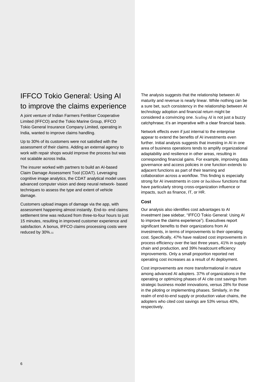## IFFCO Tokio General: Using AI to improve the claims experience

A joint venture of Indian Farmers Fertiliser Cooperative Limited (IFFCO) and the Tokio Marine Group, IFFCO Tokio General Insurance Company Limited, operating in India, wanted to improve claims handling.

Up to 30% of its customers were not satisfied with the assessment of their claims. Adding an external agency to work with repair shops would improve the process but was not scalable across India.

The insurer worked with partners to build an AI-based Claim Damage Assessment Tool (CDAT). Leveraging cognitive image analytics, the CDAT analytical model uses advanced computer vision and deep neural network- based techniques to assess the type and extent of vehicle damage.

Customers upload images of damage via the app, with assessment happening almost instantly. End-to- end claims settlement time was reduced from three-to-four hours to just 15 minutes, resulting in improved customer experience and satisfaction. A bonus, IFFCO claims processing costs were reduced by 30%.<sup>11</sup>

The analysis suggests that the relationship between AI maturity and revenue is nearly linear. While nothing can be a sure bet, such consistency in the relationship between AI technology adoption and financial return might be considered a convincing one. *Scaling AI* is not just a buzzy catchphrase; it's an imperative with a clear financial basis.

Network effects even if just internal to the enterprise appear to extend the benefits of AI investments even further. Initial analysis suggests that investing in AI in one area of business operations tends to amplify organizational adaptability and resilience in other areas, resulting in corresponding financial gains. For example, improving data governance and access policies in one function extends to adjacent functions as part of their teaming and collaboration across a workflow. This finding is especially strong for AI investments in core or *backbone* functions that have particularly strong cross-organization influence or impacts, such as finance, IT, or HR.

#### **Cost**

Our analysis also identifies cost advantages to AI investment (see sidebar, "IFFCO Tokio General: Using AI to improve the claims experience"). Executives report significant benefits to their organizations from AI investments, in terms of improvements to their operating cost. Specifically, 47% have realized cost improvements in process efficiency over the last three years, 41% in supply chain and production, and 39% headcount efficiency improvements. Only a small proportion reported net operating cost increases as a result of AI deployment.

Cost improvements are more transformational in nature among advanced AI adopters. 37% of organizations in the operating or optimizing phases of AI cite cost savings from strategic business model innovations, versus 28% for those in the piloting or implementing phases. Similarly, in the realm of end-to-end supply or production value chains, the adopters who cited cost savings are 53% versus 40%, respectively.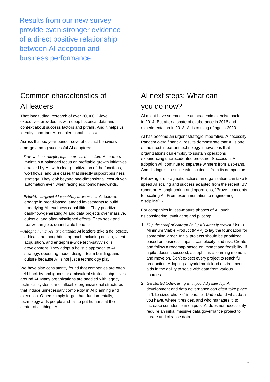Results from our new survey provide even stronger evidence of a direct positive relationship between AI adoption and business performance.

## Common characteristics of AI leaders

That longitudinal research of over 20,000 C-level executives provides us with deep historical data and context about success factors and pitfalls. And it helps us identify important AI-enabled capabilities.<sup>12</sup>

Across that six-year period, several distinct behaviors emerge among successful AI adopters:

- *Start with a strategic, topline-oriented mindset:* AI leaders maintain a balanced focus on profitable growth initiatives enabled by AI, with clear prioritization of the functions, workflows, and use cases that directly support business strategy. They look beyond one-dimensional, cost-driven automation even when facing economic headwinds.
- *Prioritize targeted AI capability investments:* AI leaders engage in broad-based, staged investments to build underlying AI readiness capabilities. They prioritize cash-flow-generating AI and data projects over massive, quixotic, and often misaligned efforts. They seek and realize tangible, quantifiable benefits.
- *Adopt a human-centric attitude:* AI leaders take a deliberate, ethical, and thoughtful approach including design, talent acquisition, and enterprise-wide tech-savvy skills development. They adopt a holistic approach to AI strategy, operating model design, team building, and culture because AI is not just a technology play.

We have also consistently found that companies are often held back by ambiguous or ambivalent strategic objectives around AI. Many organizations are saddled with legacy technical systems and inflexible organizational structures that induce unnecessary complexity in AI planning and execution. Others simply forget that, fundamentally, technology aids people and fail to put humans at the center of all things AI.

## AI next steps: What can you do now?

AI might have seemed like an academic exercise back in 2014. But after a spate of exuberance in 2016 and experimentation in 2018, AI is coming of age in 2020.

AI has become an urgent strategic imperative. A necessity. Pandemic-era financial results demonstrate that AI is one of the most important technology innovations that organizations can employ to sustain operations experiencing unprecedented pressure. Successful AI adoption will continue to separate winners from also-rans. And distinguish a successful business from its competitors.

Following are pragmatic actions an organization can take to speed AI scaling and success adapted from the recent IBV report on AI engineering and operations, "Proven concepts for scaling AI: From experimentation to engineering discipline":<sub>13</sub>

For companies in less-mature phases of AI, such as considering, evaluating and piloting:

- 1. *Skip the proof-of-concept PoC); it's already proven.* Use a Minimum Viable Product (MVP) to lay the foundation for something larger. Initial projects should be prioritized based on business impact, complexity, and risk. Create and follow a roadmap based on impact and feasibility. If a pilot doesn't succeed, accept it as a learning moment and move on. Don't expect every project to reach full production. Adopting a hybrid multicloud environment aids in the ability to scale with data from various sources.
- 2. *Get started today, using what you did yesterday.* AI development and data governance can often take place in "bite-sized chunks" in parallel. Understand what data you have, where it resides, and who manages it, to increase confidence in outputs. AI does not necessarily require an initial massive data governance project to curate and cleanse data.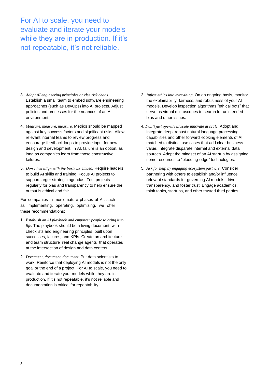For AI to scale, you need to evaluate and iterate your models while they are in production. If it's not repeatable, it's not reliable.

- 3. *Adopt AI engineering principles or else risk chaos.* Establish a small team to embed software engineering approaches (such as DevOps) into AI projects. Adjust policies and processes for the nuances of an AI environment.
- 4. *Measure, measure, measure.* Metrics should be mapped against key success factors and significant risks. Allow relevant internal teams to review progress and encourage feedback loops to provide input for new design and development. In AI, failure is an option, as long as companies learn from those constructive failures.
- 5. *Don't just align with the business embed.* Require leaders to build AI skills and training. Focus AI projects to support larger strategic agendas. Test projects regularly for bias and transparency to help ensure the output is ethical and fair.

For companies in more mature phases of AI, such as implementing, operating, optimizing, we offer these recommendations:

- 1. *Establish an AI playbook and empower people to bring it to life.* The playbook should be a living document, with checklists and engineering principles, built upon successes, failures, and KPIs. Create an architecture and team structure real change agents that operates at the intersection of design and data centers.
- 2. *Document, document, document.* Put data scientists to work. Reinforce that deploying AI models is not the only goal or the end of a project. For AI to scale, you need to evaluate and iterate your models while they are in production. If it's not repeatable, it's not reliable and documentation is critical for repeatability.
- 3. *Infuse ethics into everything.* On an ongoing basis, monitor the explainability, fairness, and robustness of your AI models. Develop inspection algorithms "ethical bots" that serve as virtual microscopes to search for unintended bias and other issues.
- 4*. Don't just operate at scale innovate at scale.* Adopt and integrate deep, robust natural language processing capabilities and other forward -looking elements of AI matched to distinct use cases that add clear business value. Integrate disparate internal and external data sources. Adopt the mindset of an AI startup by assigning some resources to "bleeding-edge" technologies.
- 5. *Ask for help by engaging ecosystem partners.* Consider partnering with others to establish and/or influence relevant standards for governing AI models, drive transparency, and foster trust. Engage academics, think tanks, startups, and other trusted third parties.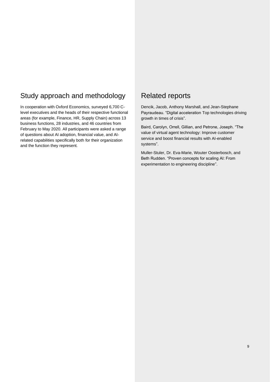### Study approach and methodology

In cooperation with Oxford Economics, surveyed 6,700 Clevel executives and the heads of their respective functional areas (for example, Finance, HR, Supply Chain) across 13 business functions, 28 industries, and 46 countries from February to May 2020. All participants were asked a range of questions about AI adoption, financial value, and AIrelated capabilities specifically both for their organization and the function they represent.

### Related reports

Dencik, Jacob, Anthony Marshall, and Jean-Stephane Payraudeau. "Digital acceleration Top technologies driving growth in times of crisis".

Baird, Carolyn, Orrell, Gillian, and Petrone, Joseph. "The value of virtual agent technology: Improve customer service and boost financial results with AI-enabled systems".

Muller-Stuler, Dr. Eva-Marie, Wouter Oosterbosch, and Beth Rudden. "Proven concepts for scaling AI: From experimentation to engineering discipline".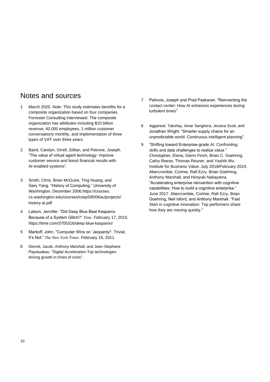### Notes and sources

- 1 March 2020. Note: This study estimates benefits for a composite organization based on four companies Forrester Consulting interviewed. The composite organization has attributes including \$10 billion revenue, 40,000 employees, 1 million customer conversations monthly, and implementation of three types of VAT over three years.
- 2 Baird, Carolyn, Orrell, Gillian, and Petrone, Joseph. "The value of virtual agent technology: Improve customer service and boost financial results with AI-enabled systems".
- 3 Smith, Chris, Brian McGuire, Ting Huang, and Gary Yang. "History of Computing." University of Washington. Decembe[r 2006.https://courses.](https://courses.cs.washington.edu/courses/csep590/06au/projects/history-ai.pdf) [cs.washington.edu/courses/csep590/06au/projects/](https://courses.cs.washington.edu/courses/csep590/06au/projects/history-ai.pdf) [history-ai.pdf](https://courses.cs.washington.edu/courses/csep590/06au/projects/history-ai.pdf)
- 4 Latson, Jennifer. "Did Deep Blue Beat Kasparov Because of a System Glitch?" *Time*. February 17, 2015. <https://time.com/3705316/deep-blue-kasparov/>
- 5 Markoff, John. "Computer Wins on 'Jeopardy!': Trivial, It's Not." *The New York Times*. February 16, 2011.
- 6 Dencik, Jacob, Anthony Marshall, and Jean-Stephane Payraudeau. "Digital Acceleration-Top technologies driving growth in times of crisis".
- 7 Petrone, Joseph and Prad Paskaran. "Reinventing the contact center: How AI enhances experiences during turbulent times".
- 8 Aggarwal, Takshay, Amar Sanghera, Jessica Scott, and Jonathan Wright. "Smarter supply chains for an unpredictable world: Continuous intelligent planning".
- 9 "Shifting toward Enterprise-grade AI: Confronting skills and data challenges to realize value." Christopher, Elena, Glenn Finch, Brian C. Goehring, Cathy Reese, Thomas Reuner, and Yashih Wu. Institute for Business Value. July 2018/February 2019. Abercrombie, Cortnie, Rafi Ezry, Brian Goehring, Anthony Marshall, and Hiroyuki Nakayama. "Accelerating enterprise reinvention with cognitive capabilities: How to build a cognitive enterprise." June 2017. Abercrombie, Cortnie, Rafi Ezry, Brian Goehring, Neil Isford, and Anthony Marshall. "Fast Start in cognitive innovation: Top performers share how they are moving quickly."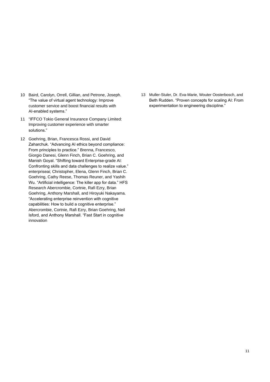- 10 Baird, Carolyn, Orrell, Gillian, and Petrone, Joseph. "The value of virtual agent technology: Improve customer service and boost financial results with AI-enabled systems."
- 11 "IFFCO Tokio General Insurance Company Limited: Improving customer experience with smarter solutions."
- 12 Goehring, Brian, Francesca Rossi, and David Zaharchuk. "Advancing AI ethics beyond compliance: From principles to practice." Brenna, Francesco, Giorgio Danesi, Glenn Finch, Brian C. Goehring, and Manish Goyal. "Shifting toward Enterprise-grade AI: Confronting skills and data challenges to realize value." enterpriseai; Christopher, Elena, Glenn Finch, Brian C. Goehring, Cathy Reese, Thomas Reuner, and Yashih Wu. "Artificial intelligence: The killer app for data." HFS Research Abercrombie, Cortnie, Rafi Ezry, Brian Goehring, Anthony Marshall, and Hiroyuki Nakayama. "Accelerating enterprise reinvention with cognitive capabilities: How to build a cognitive enterprise." Abercrombie, Cortnie, Rafi Ezry, Brian Goehring, Neil Isford, and Anthony Marshall. "Fast Start in cognitive innovation
- 13 Muller-Stuler, Dr. Eva-Marie, Wouter Oosterbosch, and Beth Rudden. "Proven concepts for scaling AI: From experimentation to engineering discipline."